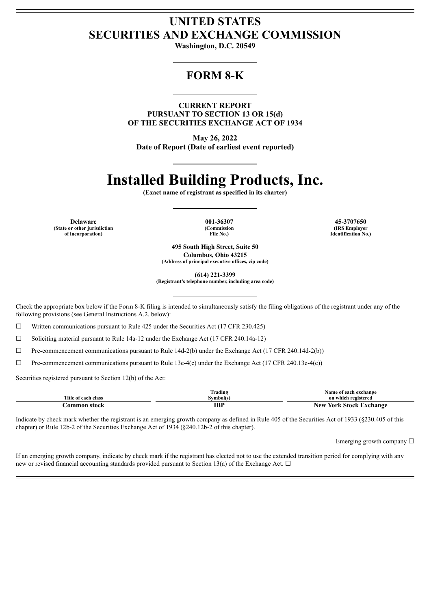## **UNITED STATES SECURITIES AND EXCHANGE COMMISSION**

**Washington, D.C. 20549**

## **FORM 8-K**

**CURRENT REPORT PURSUANT TO SECTION 13 OR 15(d) OF THE SECURITIES EXCHANGE ACT OF 1934**

**May 26, 2022 Date of Report (Date of earliest event reported)**

# **Installed Building Products, Inc.**

**(Exact name of registrant as specified in its charter)**

**(State or other jurisdiction of incorporation)**

**(Commission File No.)**

**Delaware 001-36307 45-3707650 (IRS Employer Identification No.)**

> **495 South High Street, Suite 50 Columbus, Ohio 43215 (Address of principal executive offices, zip code)**

> > **(614) 221-3399**

**(Registrant's telephone number, including area code)**

Check the appropriate box below if the Form 8-K filing is intended to simultaneously satisfy the filing obligations of the registrant under any of the following provisions (see General Instructions A.2. below):

 $\Box$  Written communications pursuant to Rule 425 under the Securities Act (17 CFR 230.425)

 $\Box$  Soliciting material pursuant to Rule 14a-12 under the Exchange Act (17 CFR 240.14a-12)

 $\Box$  Pre-commencement communications pursuant to Rule 14d-2(b) under the Exchange Act (17 CFR 240.14d-2(b))

 $\Box$  Pre-commencement communications pursuant to Rule 13e-4(c) under the Exchange Act (17 CFR 240.13e-4(c))

Securities registered pursuant to Section 12(b) of the Act:

|                     | --<br>lrading | Name of each exchange           |
|---------------------|---------------|---------------------------------|
| Title of each class | Svmbol(s)     | on which registered             |
| -stock<br>:ommon    | IBI           | New<br>. Stock Exchange<br>York |

Indicate by check mark whether the registrant is an emerging growth company as defined in Rule 405 of the Securities Act of 1933 (§230.405 of this chapter) or Rule 12b-2 of the Securities Exchange Act of 1934 (§240.12b-2 of this chapter).

Emerging growth company  $\Box$ 

If an emerging growth company, indicate by check mark if the registrant has elected not to use the extended transition period for complying with any new or revised financial accounting standards provided pursuant to Section 13(a) of the Exchange Act.  $\Box$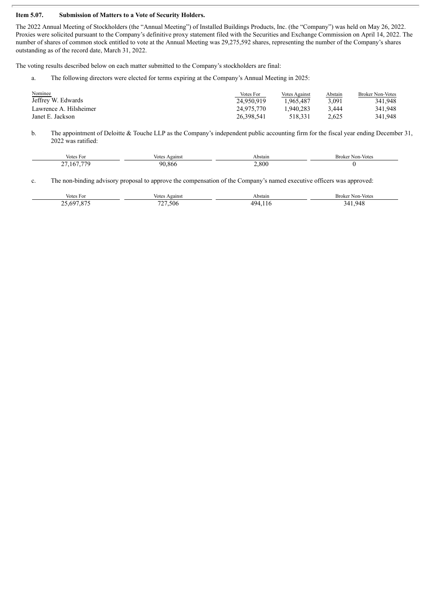#### **Item 5.07. Submission of Matters to a Vote of Security Holders.**

The 2022 Annual Meeting of Stockholders (the "Annual Meeting") of Installed Buildings Products, Inc. (the "Company") was held on May 26, 2022. Proxies were solicited pursuant to the Company's definitive proxy statement filed with the Securities and Exchange Commission on April 14, 2022. The number of shares of common stock entitled to vote at the Annual Meeting was 29,275,592 shares, representing the number of the Company's shares outstanding as of the record date, March 31, 2022.

The voting results described below on each matter submitted to the Company's stockholders are final:

a. The following directors were elected for terms expiring at the Company's Annual Meeting in 2025:

| Nominee<br>Jeffrey W. Edwards | Votes For<br>24.950.919 | <b>Votes Against</b><br>1.965.487 | Abstain<br>3.091 | <b>Broker Non-Votes</b><br>341.948 |
|-------------------------------|-------------------------|-----------------------------------|------------------|------------------------------------|
| Lawrence A. Hilsheimer        | 24.975.770              | 1.940.283                         | 3.444            | 341.948                            |
| Janet E. Jackson              | 26.398.541              | 518.331                           | 2.625            | 341.948                            |

b. The appointment of Deloitte & Touche LLP as the Company's independent public accounting firm for the fiscal year ending December 31, 2022 was ratified:

| Votes For                             | Against<br>Votes | Abstain | Broker<br>Mon-Votes |
|---------------------------------------|------------------|---------|---------------------|
| 167 770<br>$\sim$<br>.16<br>، ت<br>__ | 90.866           | 2.800   |                     |

c. The non-binding advisory proposal to approve the compensation of the Company's named executive officers was approved:

| Votes For                                | Against<br>Votes        | Abstain   | -Broker<br>Non-Votes |
|------------------------------------------|-------------------------|-----------|----------------------|
| $\sim$ 607.07 $^{\circ}$<br>ny<br>$\sim$ | $\overline{z}$<br>.506. | лчи<br>__ | 34<br>948<br>.<br>__ |